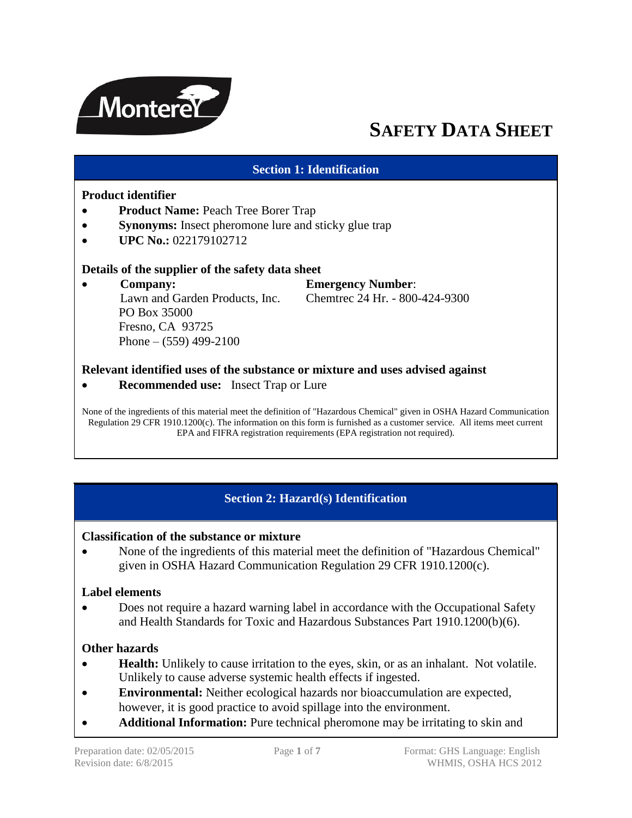

# **SAFETY DATA SHEET**

## **Section 1: Identification**

#### **Product identifier**

- **Product Name:** Peach Tree Borer Trap
- **Synonyms:** Insect pheromone lure and sticky glue trap
- $\bullet$  **UPC No.:** 022179102712

#### **Details of the supplier of the safety data sheet**

 **Company: Emergency Number**: Lawn and Garden Products, Inc. Chemtrec 24 Hr. - 800-424-9300 PO Box 35000 Fresno, CA 93725 Phone –  $(559)$  499-2100

#### **Relevant identified uses of the substance or mixture and uses advised against**

**Recommended use:** Insect Trap or Lure

None of the ingredients of this material meet the definition of "Hazardous Chemical" given in OSHA Hazard Communication Regulation 29 CFR 1910.1200(c). The information on this form is furnished as a customer service. All items meet current EPA and FIFRA registration requirements (EPA registration not required).

## **Section 2: Hazard(s) Identification**

#### **Classification of the substance or mixture**

 None of the ingredients of this material meet the definition of "Hazardous Chemical" given in OSHA Hazard Communication Regulation 29 CFR 1910.1200(c).

#### **Label elements**

 Does not require a hazard warning label in accordance with the Occupational Safety and Health Standards for Toxic and Hazardous Substances Part 1910.1200(b)(6).

#### **Other hazards**

- **Health:** Unlikely to cause irritation to the eyes, skin, or as an inhalant. Not volatile. Unlikely to cause adverse systemic health effects if ingested.
- **Environmental:** Neither ecological hazards nor bioaccumulation are expected, however, it is good practice to avoid spillage into the environment.
- **Additional Information:** Pure technical pheromone may be irritating to skin and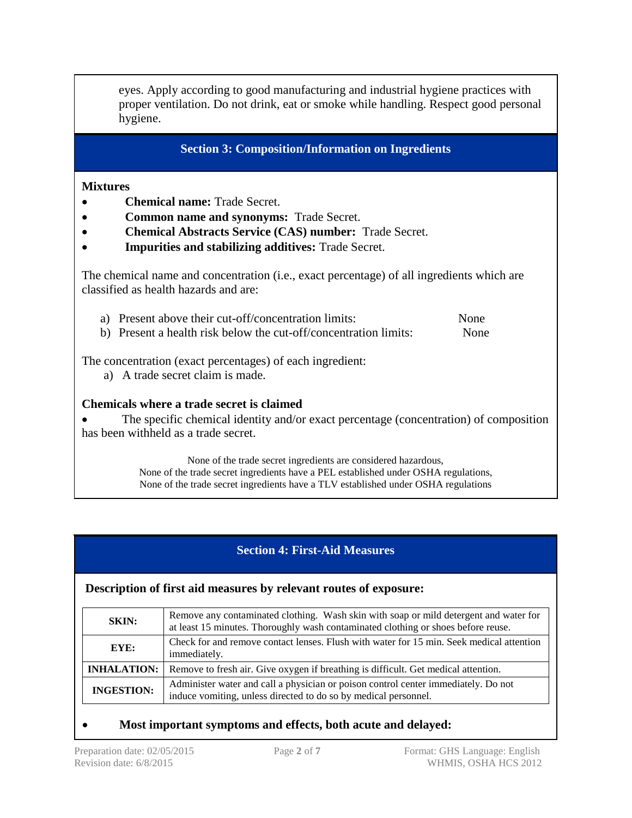eyes. Apply according to good manufacturing and industrial hygiene practices with proper ventilation. Do not drink, eat or smoke while handling. Respect good personal hygiene.

**Section 3: Composition/Information on Ingredients**

#### **Mixtures**

- **Chemical name:** Trade Secret.
- **Common name and synonyms:** Trade Secret.
- **Chemical Abstracts Service (CAS) number:** Trade Secret.
- **Impurities and stabilizing additives:** Trade Secret.

The chemical name and concentration (i.e., exact percentage) of all ingredients which are classified as health hazards and are:

- a) Present above their cut-off/concentration limits: None
- b) Present a health risk below the cut-off/concentration limits: None

The concentration (exact percentages) of each ingredient:

a) A trade secret claim is made.

## **Chemicals where a trade secret is claimed**

• The specific chemical identity and/or exact percentage (concentration) of composition has been withheld as a trade secret.

> None of the trade secret ingredients are considered hazardous, None of the trade secret ingredients have a PEL established under OSHA regulations, None of the trade secret ingredients have a TLV established under OSHA regulations

# **Section 4: First-Aid Measures**

#### **Description of first aid measures by relevant routes of exposure:**

| <b>SKIN:</b>       | Remove any contaminated clothing. Wash skin with soap or mild detergent and water for<br>at least 15 minutes. Thoroughly wash contaminated clothing or shoes before reuse. |
|--------------------|----------------------------------------------------------------------------------------------------------------------------------------------------------------------------|
| EYE:               | Check for and remove contact lenses. Flush with water for 15 min. Seek medical attention<br>immediately.                                                                   |
| <b>INHALATION:</b> | Remove to fresh air. Give oxygen if breathing is difficult. Get medical attention.                                                                                         |
| <b>INGESTION:</b>  | Administer water and call a physician or poison control center immediately. Do not<br>induce vomiting, unless directed to do so by medical personnel.                      |

## **Most important symptoms and effects, both acute and delayed:**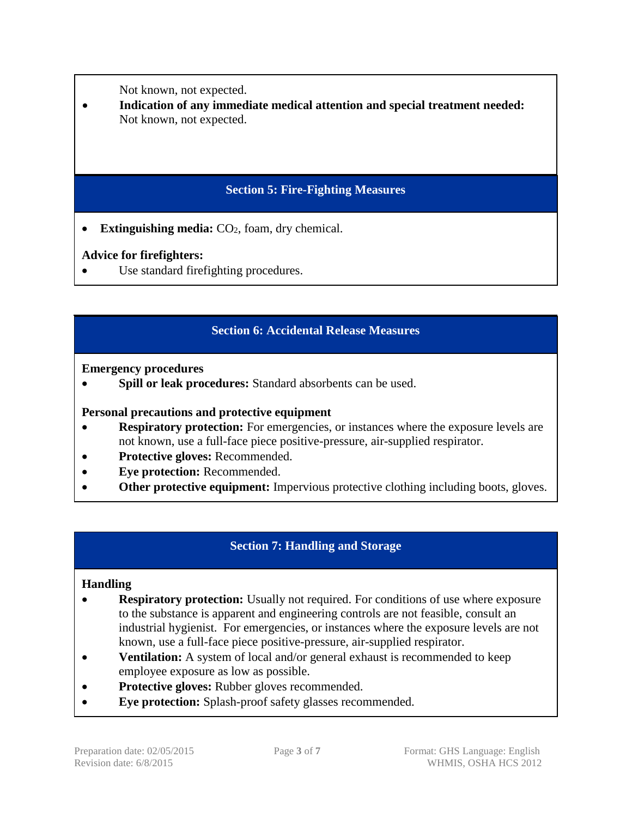Not known, not expected.

 **Indication of any immediate medical attention and special treatment needed:**  Not known, not expected.

# **Section 5: Fire-Fighting Measures**

• **Extinguishing media:**  $CO<sub>2</sub>$ , foam, dry chemical.

# **Advice for firefighters:**

Use standard firefighting procedures.

# **Section 6: Accidental Release Measures**

**Emergency procedures**

**Spill or leak procedures:** Standard absorbents can be used.

## **Personal precautions and protective equipment**

- **Respiratory protection:** For emergencies, or instances where the exposure levels are not known, use a full-face piece positive-pressure, air-supplied respirator.
- **Protective gloves:** Recommended.
- **Eye protection:** Recommended.
- **Other protective equipment:** Impervious protective clothing including boots, gloves.

# **Section 7: Handling and Storage**

## **Handling**

- **Respiratory protection:** Usually not required. For conditions of use where exposure to the substance is apparent and engineering controls are not feasible, consult an industrial hygienist. For emergencies, or instances where the exposure levels are not known, use a full-face piece positive-pressure, air-supplied respirator.
- **Ventilation:** A system of local and/or general exhaust is recommended to keep employee exposure as low as possible.
- **Protective gloves:** Rubber gloves recommended.
- **Eye protection:** Splash-proof safety glasses recommended.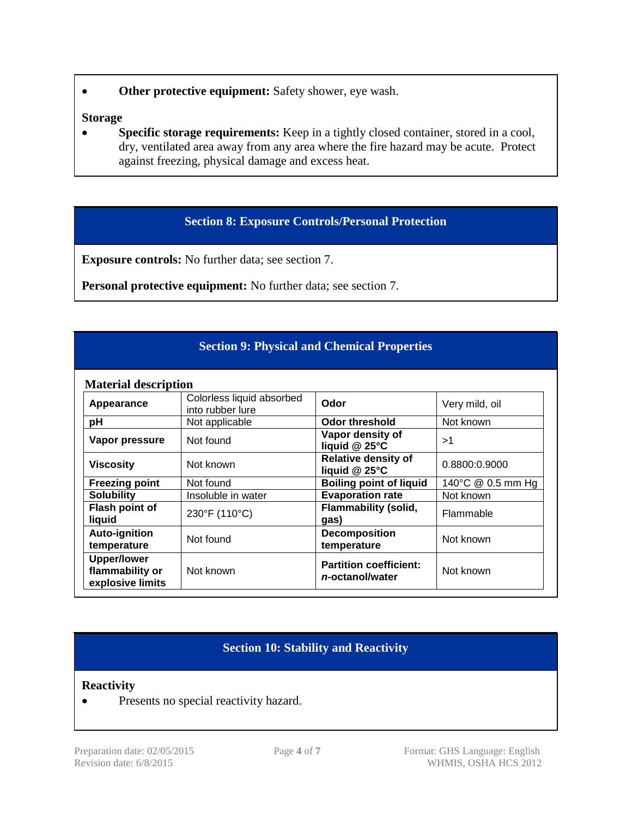**Other protective equipment:** Safety shower, eye wash.

#### **Storage**

• Specific storage requirements: Keep in a tightly closed container, stored in a cool, dry, ventilated area away from any area where the fire hazard may be acute. Protect against freezing, physical damage and excess heat.

## **Section 8: Exposure Controls/Personal Protection**

**Exposure controls:** No further data; see section 7.

**Personal protective equipment:** No further data; see section 7.

## **Section 9: Physical and Chemical Properties**

| <b>Material description</b> |  |
|-----------------------------|--|
|                             |  |

| <b>Material description</b>                               |                                               |                                                  |                   |
|-----------------------------------------------------------|-----------------------------------------------|--------------------------------------------------|-------------------|
| Appearance                                                | Colorless liquid absorbed<br>into rubber lure | Odor                                             | Very mild, oil    |
| рH                                                        | Not applicable                                | <b>Odor threshold</b>                            | Not known         |
| Vapor pressure                                            | Not found                                     | Vapor density of<br>liquid $@$ 25 $°C$           | >1                |
| <b>Viscosity</b>                                          | Not known                                     | <b>Relative density of</b><br>liquid @ 25°C      | 0.8800:0.9000     |
| <b>Freezing point</b>                                     | Not found                                     | <b>Boiling point of liquid</b>                   | 140°C @ 0.5 mm Hg |
| <b>Solubility</b>                                         | Insoluble in water                            | <b>Evaporation rate</b>                          | Not known         |
| Flash point of<br>liquid                                  | 230°F (110°C)                                 | <b>Flammability (solid,</b><br>gas)              | Flammable         |
| <b>Auto-ignition</b><br>temperature                       | Not found                                     | <b>Decomposition</b><br>temperature              | Not known         |
| <b>Upper/lower</b><br>flammability or<br>explosive limits | Not known                                     | <b>Partition coefficient:</b><br>n-octanol/water | Not known         |

## **Section 10: Stability and Reactivity**

#### **Reactivity**

• Presents no special reactivity hazard.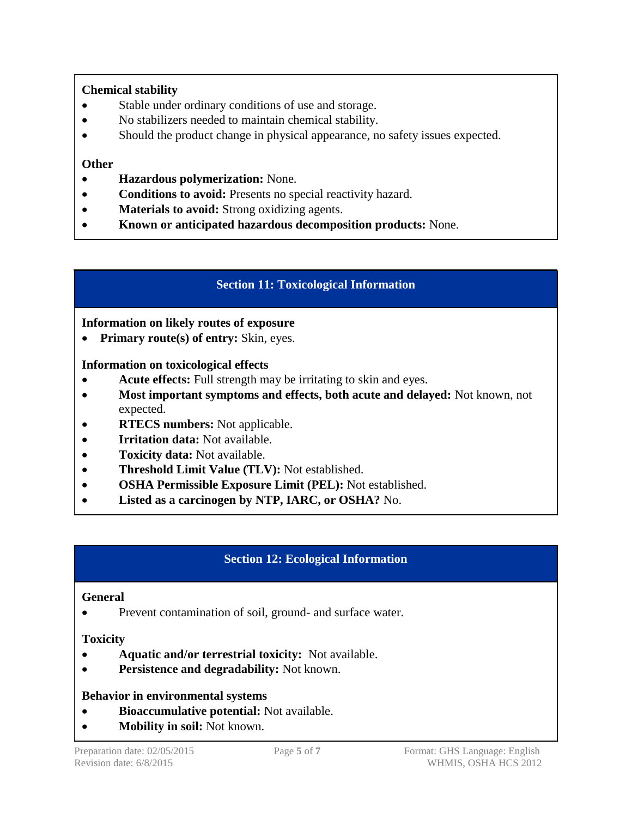# **Chemical stability**

- Stable under ordinary conditions of use and storage.
- No stabilizers needed to maintain chemical stability.
- Should the product change in physical appearance, no safety issues expected.

## **Other**

- **Hazardous polymerization:** None.
- **Conditions to avoid:** Presents no special reactivity hazard.
- **Materials to avoid:** Strong oxidizing agents.
- **Known or anticipated hazardous decomposition products:** None.

# **Section 11: Toxicological Information**

## **Information on likely routes of exposure**

• Primary route(s) of entry: Skin, eyes.

## **Information on toxicological effects**

- **Acute effects:** Full strength may be irritating to skin and eyes.
- **Most important symptoms and effects, both acute and delayed:** Not known, not expected.
- **RTECS numbers:** Not applicable.
- **Irritation data:** Not available.
- **Toxicity data:** Not available.
- **Threshold Limit Value (TLV):** Not established.
- **OSHA Permissible Exposure Limit (PEL):** Not established.
- **Listed as a carcinogen by NTP, IARC, or OSHA?** No.

# **Section 12: Ecological Information**

## **General**

• Prevent contamination of soil, ground- and surface water.

## **Toxicity**

- **Aquatic and/or terrestrial toxicity:** Not available.
- **Persistence and degradability:** Not known.

## **Behavior in environmental systems**

- **Bioaccumulative potential:** Not available.
- **Mobility in soil:** Not known.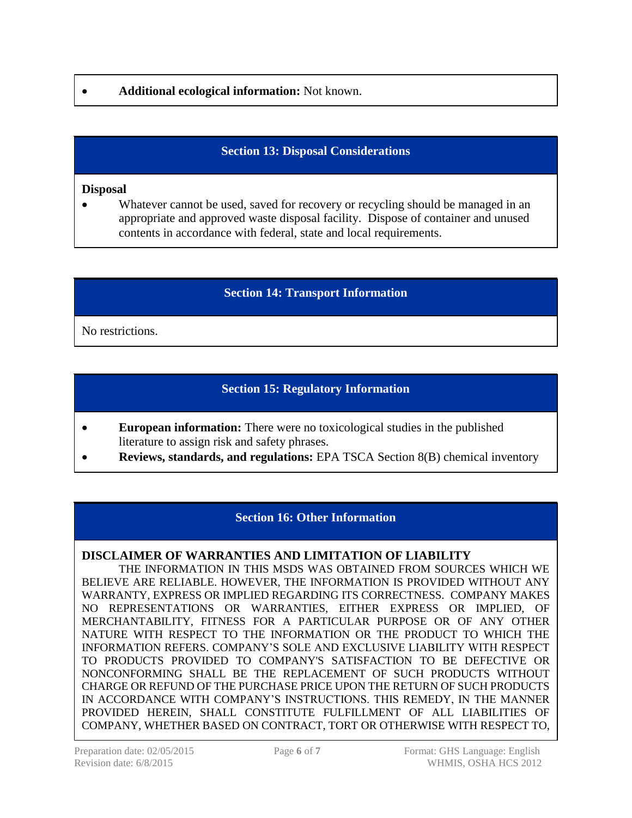## **Additional ecological information:** Not known.

# **Section 13: Disposal Considerations**

### **Disposal**

 Whatever cannot be used, saved for recovery or recycling should be managed in an appropriate and approved waste disposal facility. Dispose of container and unused contents in accordance with federal, state and local requirements.

## **Section 14: Transport Information**

No restrictions.

## **Section 15: Regulatory Information**

- **European information:** There were no toxicological studies in the published literature to assign risk and safety phrases.
- **Reviews, standards, and regulations:** EPA TSCA Section 8(B) chemical inventory

## **Section 16: Other Information**

#### **DISCLAIMER OF WARRANTIES AND LIMITATION OF LIABILITY**

THE INFORMATION IN THIS MSDS WAS OBTAINED FROM SOURCES WHICH WE BELIEVE ARE RELIABLE. HOWEVER, THE INFORMATION IS PROVIDED WITHOUT ANY WARRANTY, EXPRESS OR IMPLIED REGARDING ITS CORRECTNESS. COMPANY MAKES NO REPRESENTATIONS OR WARRANTIES, EITHER EXPRESS OR IMPLIED, OF MERCHANTABILITY, FITNESS FOR A PARTICULAR PURPOSE OR OF ANY OTHER NATURE WITH RESPECT TO THE INFORMATION OR THE PRODUCT TO WHICH THE INFORMATION REFERS. COMPANY'S SOLE AND EXCLUSIVE LIABILITY WITH RESPECT TO PRODUCTS PROVIDED TO COMPANY'S SATISFACTION TO BE DEFECTIVE OR NONCONFORMING SHALL BE THE REPLACEMENT OF SUCH PRODUCTS WITHOUT CHARGE OR REFUND OF THE PURCHASE PRICE UPON THE RETURN OF SUCH PRODUCTS IN ACCORDANCE WITH COMPANY'S INSTRUCTIONS. THIS REMEDY, IN THE MANNER PROVIDED HEREIN, SHALL CONSTITUTE FULFILLMENT OF ALL LIABILITIES OF COMPANY, WHETHER BASED ON CONTRACT, TORT OR OTHERWISE WITH RESPECT TO,